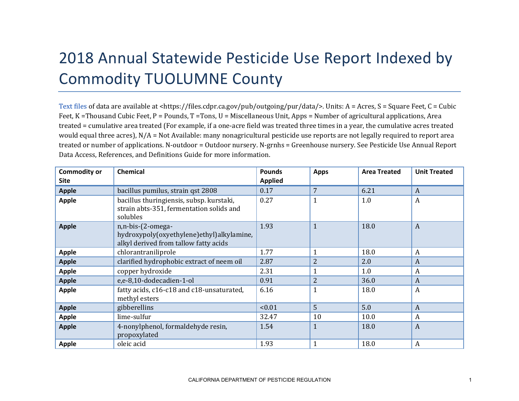## 2018 Annual Statewide Pesticide Use Report Indexed by Commodity TUOLUMNE County

[Text files](https://files.cdpr.ca.gov/pub/outgoing/pur/data/) of data are available at <https://files.cdpr.ca.gov/pub/outgoing/pur/data/>. Units: A = Acres, S = Square Feet, C = Cubic Feet, K = Thousand Cubic Feet, P = Pounds, T = Tons, U = Miscellaneous Unit, Apps = Number of agricultural applications, Area treated = cumulative area treated (For example, if a one-acre field was treated three times in a year, the cumulative acres treated would equal three acres), N/A = Not Available: many nonagricultural pesticide use reports are not legally required to report area treated or number of applications. N-outdoor = Outdoor nursery. N-grnhs = Greenhouse nursery. See Pesticide Use Annual Report Data Access, References, and Definitions Guide for more information.

| <b>Commodity or</b><br><b>Site</b> | <b>Chemical</b>                                                                                         | <b>Pounds</b><br><b>Applied</b> | <b>Apps</b>    | <b>Area Treated</b> | <b>Unit Treated</b> |
|------------------------------------|---------------------------------------------------------------------------------------------------------|---------------------------------|----------------|---------------------|---------------------|
| <b>Apple</b>                       | bacillus pumilus, strain qst 2808                                                                       | 0.17                            | $\overline{7}$ | 6.21                | $\boldsymbol{A}$    |
| <b>Apple</b>                       | bacillus thuringiensis, subsp. kurstaki,<br>strain abts-351, fermentation solids and<br>solubles        | 0.27                            | 1              | 1.0                 | $\boldsymbol{A}$    |
| <b>Apple</b>                       | n,n-bis-(2-omega-<br>hydroxypoly(oxyethylene)ethyl)alkylamine,<br>alkyl derived from tallow fatty acids | 1.93                            | $\mathbf{1}$   | 18.0                | $\boldsymbol{A}$    |
| <b>Apple</b>                       | chlorantraniliprole                                                                                     | 1.77                            | 1              | 18.0                | $\boldsymbol{A}$    |
| <b>Apple</b>                       | clarified hydrophobic extract of neem oil                                                               | 2.87                            | $\overline{2}$ | 2.0                 | $\boldsymbol{A}$    |
| <b>Apple</b>                       | copper hydroxide                                                                                        | 2.31                            |                | 1.0                 | $\boldsymbol{A}$    |
| <b>Apple</b>                       | e,e-8,10-dodecadien-1-ol                                                                                | 0.91                            | $\overline{2}$ | 36.0                | $\boldsymbol{A}$    |
| <b>Apple</b>                       | fatty acids, c16-c18 and c18-unsaturated,<br>methyl esters                                              | 6.16                            | 1              | 18.0                | $\boldsymbol{A}$    |
| <b>Apple</b>                       | gibberellins                                                                                            | < 0.01                          | 5              | 5.0                 | $\boldsymbol{A}$    |
| <b>Apple</b>                       | lime-sulfur                                                                                             | 32.47                           | 10             | 10.0                | A                   |
| <b>Apple</b>                       | 4-nonylphenol, formaldehyde resin,<br>propoxylated                                                      | 1.54                            | $\mathbf{1}$   | 18.0                | $\boldsymbol{A}$    |
| <b>Apple</b>                       | oleic acid                                                                                              | 1.93                            | 1              | 18.0                | A                   |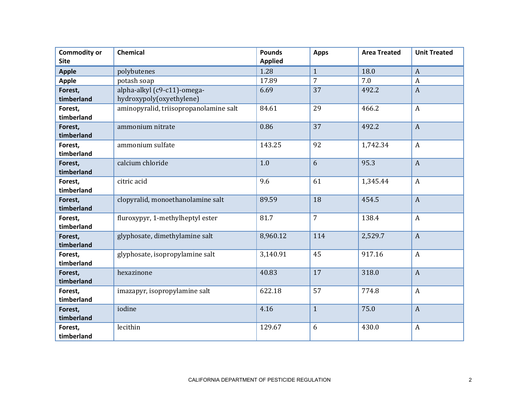| <b>Commodity or</b><br><b>Site</b> | Chemical                               | <b>Pounds</b><br><b>Applied</b> | <b>Apps</b>    | <b>Area Treated</b> | <b>Unit Treated</b> |
|------------------------------------|----------------------------------------|---------------------------------|----------------|---------------------|---------------------|
| <b>Apple</b>                       | polybutenes                            | 1.28                            | $\mathbf{1}$   | 18.0                | $\mathbf{A}$        |
| <b>Apple</b>                       | potash soap                            | 17.89                           | $\overline{7}$ | 7.0                 | $\boldsymbol{A}$    |
| Forest,                            | alpha-alkyl (c9-c11)-omega-            | 6.69                            | 37             | 492.2               | $\boldsymbol{A}$    |
| timberland                         | hydroxypoly(oxyethylene)               |                                 |                |                     |                     |
| Forest,                            | aminopyralid, triisopropanolamine salt | 84.61                           | 29             | 466.2               | $\boldsymbol{A}$    |
| timberland                         |                                        |                                 |                |                     |                     |
| Forest,                            | ammonium nitrate                       | 0.86                            | 37             | 492.2               | $\mathbf{A}$        |
| timberland                         |                                        |                                 |                |                     |                     |
| Forest,                            | ammonium sulfate                       | 143.25                          | 92             | 1,742.34            | $\boldsymbol{A}$    |
| timberland                         |                                        |                                 |                |                     |                     |
| Forest,                            | calcium chloride                       | 1.0                             | 6              | 95.3                | $\boldsymbol{A}$    |
| timberland                         |                                        |                                 |                |                     |                     |
| Forest,                            | citric acid                            | 9.6                             | 61             | 1,345.44            | $\mathbf{A}$        |
| timberland                         |                                        |                                 |                |                     |                     |
| Forest,                            | clopyralid, monoethanolamine salt      | 89.59                           | 18             | 454.5               | $\mathbf{A}$        |
| timberland                         |                                        |                                 |                |                     |                     |
| Forest,                            | fluroxypyr, 1-methylheptyl ester       | 81.7                            | $\overline{7}$ | 138.4               | $\boldsymbol{A}$    |
| timberland                         |                                        |                                 |                |                     |                     |
| Forest,                            | glyphosate, dimethylamine salt         | 8,960.12                        | 114            | 2,529.7             | $\mathbf{A}$        |
| timberland                         |                                        |                                 |                |                     |                     |
| Forest,<br>timberland              | glyphosate, isopropylamine salt        | 3,140.91                        | 45             | 917.16              | $\mathbf{A}$        |
|                                    | hexazinone                             | 40.83                           | 17             | 318.0               | $\mathbf{A}$        |
| Forest,<br>timberland              |                                        |                                 |                |                     |                     |
| Forest,                            | imazapyr, isopropylamine salt          | 622.18                          | 57             | 774.8               | $\boldsymbol{A}$    |
| timberland                         |                                        |                                 |                |                     |                     |
| Forest,                            | iodine                                 | 4.16                            | $\mathbf{1}$   | 75.0                | $\overline{A}$      |
| timberland                         |                                        |                                 |                |                     |                     |
| Forest,                            | lecithin                               | 129.67                          | 6              | 430.0               | $\boldsymbol{A}$    |
| timberland                         |                                        |                                 |                |                     |                     |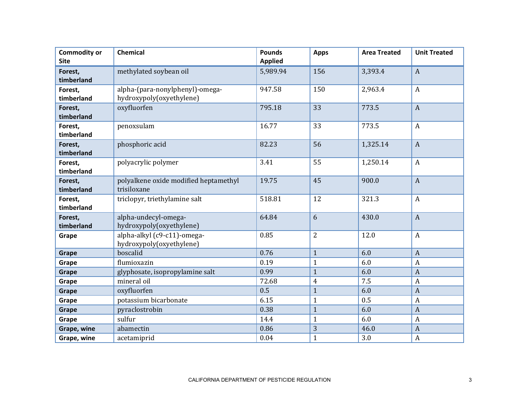| <b>Commodity or</b> | Chemical                              | <b>Pounds</b>  | <b>Apps</b>    | <b>Area Treated</b> | <b>Unit Treated</b> |
|---------------------|---------------------------------------|----------------|----------------|---------------------|---------------------|
| <b>Site</b>         |                                       | <b>Applied</b> |                |                     |                     |
| Forest,             | methylated soybean oil                | 5,989.94       | 156            | 3,393.4             | $\mathbf{A}$        |
| timberland          |                                       |                |                |                     |                     |
| Forest,             | alpha-(para-nonylphenyl)-omega-       | 947.58         | 150            | 2,963.4             | $\mathbf{A}$        |
| timberland          | hydroxypoly(oxyethylene)              |                |                |                     |                     |
| Forest,             | oxyfluorfen                           | 795.18         | 33             | 773.5               | $\mathbf{A}$        |
| timberland          |                                       |                |                |                     |                     |
| Forest,             | penoxsulam                            | 16.77          | 33             | 773.5               | $\mathbf{A}$        |
| timberland          |                                       |                |                |                     |                     |
| Forest,             | phosphoric acid                       | 82.23          | 56             | 1,325.14            | $\boldsymbol{A}$    |
| timberland          |                                       |                |                |                     |                     |
| Forest,             | polyacrylic polymer                   | 3.41           | 55             | 1,250.14            | $\boldsymbol{A}$    |
| timberland          |                                       |                |                |                     |                     |
| Forest,             | polyalkene oxide modified heptamethyl | 19.75          | 45             | 900.0               | $\mathbf{A}$        |
| timberland          | trisiloxane                           |                |                |                     |                     |
| Forest,             | triclopyr, triethylamine salt         | 518.81         | 12             | 321.3               | $\mathbf{A}$        |
| timberland          |                                       |                |                |                     |                     |
| Forest,             | alpha-undecyl-omega-                  | 64.84          | 6              | 430.0               | $\boldsymbol{A}$    |
| timberland          | hydroxypoly(oxyethylene)              |                |                |                     |                     |
| Grape               | alpha-alkyl (c9-c11)-omega-           | 0.85           | $\overline{2}$ | 12.0                | $\mathbf{A}$        |
|                     | hydroxypoly(oxyethylene)              |                |                |                     |                     |
| Grape               | boscalid                              | 0.76           | $\mathbf{1}$   | 6.0                 | $\boldsymbol{A}$    |
| Grape               | flumioxazin                           | 0.19           | $\mathbf{1}$   | 6.0                 | $\boldsymbol{A}$    |
| Grape               | glyphosate, isopropylamine salt       | 0.99           | $\mathbf{1}$   | 6.0                 | $\overline{A}$      |
| Grape               | mineral oil                           | 72.68          | $\overline{4}$ | 7.5                 | $\boldsymbol{A}$    |
| Grape               | oxyfluorfen                           | 0.5            | $\mathbf{1}$   | 6.0                 | $\boldsymbol{A}$    |
| Grape               | potassium bicarbonate                 | 6.15           | $\mathbf{1}$   | 0.5                 | $\boldsymbol{A}$    |
| Grape               | pyraclostrobin                        | 0.38           | $\mathbf{1}$   | 6.0                 | $\boldsymbol{A}$    |
| Grape               | sulfur                                | 14.4           | $\mathbf{1}$   | 6.0                 | $\boldsymbol{A}$    |
| Grape, wine         | abamectin                             | 0.86           | 3              | 46.0                | $\boldsymbol{A}$    |
| Grape, wine         | acetamiprid                           | 0.04           | $\mathbf{1}$   | 3.0                 | $\boldsymbol{A}$    |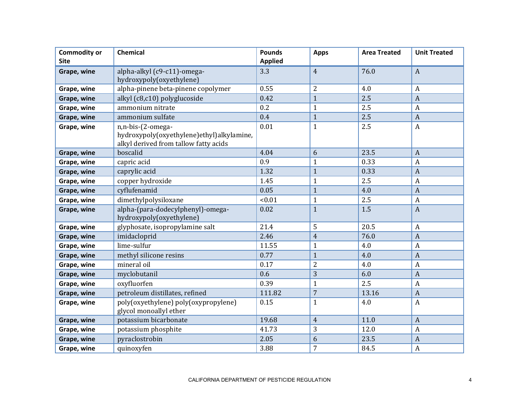| <b>Commodity or</b><br><b>Site</b> | Chemical                                                                                                | <b>Pounds</b><br><b>Applied</b> | <b>Apps</b>    | <b>Area Treated</b> | <b>Unit Treated</b> |
|------------------------------------|---------------------------------------------------------------------------------------------------------|---------------------------------|----------------|---------------------|---------------------|
| Grape, wine                        | alpha-alkyl (c9-c11)-omega-<br>hydroxypoly(oxyethylene)                                                 | 3.3                             | $\overline{4}$ | 76.0                | $\boldsymbol{A}$    |
| Grape, wine                        | alpha-pinene beta-pinene copolymer                                                                      | 0.55                            | $\overline{2}$ | 4.0                 | $\boldsymbol{A}$    |
| Grape, wine                        | alkyl (c8,c10) polyglucoside                                                                            | 0.42                            | $\overline{1}$ | 2.5                 | $\boldsymbol{A}$    |
| Grape, wine                        | ammonium nitrate                                                                                        | 0.2                             | $\mathbf{1}$   | 2.5                 | $\boldsymbol{A}$    |
| Grape, wine                        | ammonium sulfate                                                                                        | 0.4                             | $\mathbf{1}$   | 2.5                 | $\boldsymbol{A}$    |
| Grape, wine                        | n,n-bis-(2-omega-<br>hydroxypoly(oxyethylene)ethyl)alkylamine,<br>alkyl derived from tallow fatty acids | 0.01                            | $\mathbf{1}$   | 2.5                 | $\boldsymbol{A}$    |
| Grape, wine                        | boscalid                                                                                                | 4.04                            | 6              | 23.5                | $\overline{A}$      |
| Grape, wine                        | capric acid                                                                                             | 0.9                             | $\mathbf{1}$   | 0.33                | $\boldsymbol{A}$    |
| Grape, wine                        | caprylic acid                                                                                           | 1.32                            | $\mathbf{1}$   | 0.33                | $\boldsymbol{A}$    |
| Grape, wine                        | copper hydroxide                                                                                        | 1.45                            | $\mathbf{1}$   | 2.5                 | $\boldsymbol{A}$    |
| Grape, wine                        | cyflufenamid                                                                                            | 0.05                            | $\mathbf{1}$   | 4.0                 | $\boldsymbol{A}$    |
| Grape, wine                        | dimethylpolysiloxane                                                                                    | < 0.01                          | $\mathbf{1}$   | 2.5                 | $\boldsymbol{A}$    |
| Grape, wine                        | alpha-(para-dodecylphenyl)-omega-<br>hydroxypoly(oxyethylene)                                           | 0.02                            | $\mathbf{1}$   | 1.5                 | $\boldsymbol{A}$    |
| Grape, wine                        | glyphosate, isopropylamine salt                                                                         | 21.4                            | 5              | 20.5                | A                   |
| Grape, wine                        | imidacloprid                                                                                            | 2.46                            | $\overline{4}$ | 76.0                | $\overline{A}$      |
| Grape, wine                        | lime-sulfur                                                                                             | 11.55                           | $\mathbf{1}$   | 4.0                 | $\boldsymbol{A}$    |
| Grape, wine                        | methyl silicone resins                                                                                  | 0.77                            | $\mathbf{1}$   | 4.0                 | $\boldsymbol{A}$    |
| Grape, wine                        | mineral oil                                                                                             | 0.17                            | $\overline{2}$ | 4.0                 | $\boldsymbol{A}$    |
| Grape, wine                        | myclobutanil                                                                                            | 0.6                             | 3              | 6.0                 | $\boldsymbol{A}$    |
| Grape, wine                        | oxyfluorfen                                                                                             | 0.39                            | $\mathbf{1}$   | 2.5                 | $\boldsymbol{A}$    |
| Grape, wine                        | petroleum distillates, refined                                                                          | 111.82                          | $\overline{7}$ | 13.16               | $\boldsymbol{A}$    |
| Grape, wine                        | poly(oxyethylene) poly(oxypropylene)<br>glycol monoallyl ether                                          | 0.15                            | $\mathbf{1}$   | 4.0                 | $\boldsymbol{A}$    |
| Grape, wine                        | potassium bicarbonate                                                                                   | 19.68                           | $\overline{4}$ | 11.0                | $\boldsymbol{A}$    |
| Grape, wine                        | potassium phosphite                                                                                     | 41.73                           | 3              | 12.0                | $\boldsymbol{A}$    |
| Grape, wine                        | pyraclostrobin                                                                                          | 2.05                            | 6              | 23.5                | $\overline{A}$      |
| Grape, wine                        | quinoxyfen                                                                                              | 3.88                            | 7              | 84.5                | $\boldsymbol{A}$    |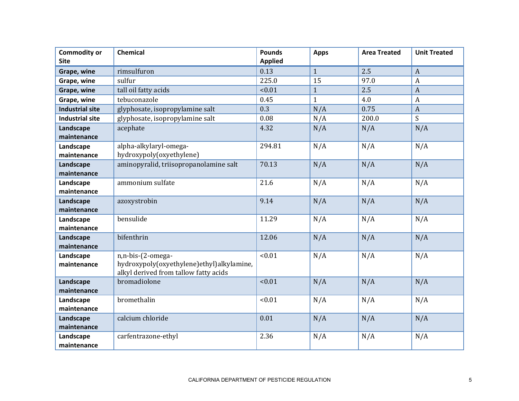| <b>Commodity or</b><br><b>Site</b> | Chemical                                  | <b>Pounds</b><br><b>Applied</b> | <b>Apps</b>  | <b>Area Treated</b> | <b>Unit Treated</b> |
|------------------------------------|-------------------------------------------|---------------------------------|--------------|---------------------|---------------------|
| Grape, wine                        | rimsulfuron                               | 0.13                            | $\mathbf{1}$ | 2.5                 | $\boldsymbol{A}$    |
| Grape, wine                        | sulfur                                    | 225.0                           | 15           | 97.0                | $\boldsymbol{A}$    |
| Grape, wine                        | tall oil fatty acids                      | < 0.01                          | $\mathbf{1}$ | 2.5                 | $\overline{A}$      |
| Grape, wine                        | tebuconazole                              | 0.45                            | $\mathbf{1}$ | 4.0                 | $\boldsymbol{A}$    |
| <b>Industrial site</b>             | glyphosate, isopropylamine salt           | 0.3                             | N/A          | 0.75                | $\boldsymbol{A}$    |
| <b>Industrial site</b>             | glyphosate, isopropylamine salt           | 0.08                            | N/A          | 200.0               | S                   |
| Landscape                          | acephate                                  | 4.32                            | N/A          | N/A                 | N/A                 |
| maintenance                        |                                           |                                 |              |                     |                     |
| Landscape                          | alpha-alkylaryl-omega-                    | 294.81                          | N/A          | N/A                 | N/A                 |
| maintenance                        | hydroxypoly(oxyethylene)                  |                                 |              |                     |                     |
| Landscape                          | aminopyralid, triisopropanolamine salt    | 70.13                           | N/A          | N/A                 | N/A                 |
| maintenance                        |                                           |                                 |              |                     |                     |
| Landscape                          | ammonium sulfate                          | 21.6                            | N/A          | N/A                 | N/A                 |
| maintenance                        |                                           |                                 |              |                     |                     |
| Landscape                          | azoxystrobin                              | 9.14                            | N/A          | N/A                 | N/A                 |
| maintenance                        | bensulide                                 | 11.29                           |              |                     |                     |
| Landscape<br>maintenance           |                                           |                                 | N/A          | N/A                 | N/A                 |
| Landscape                          | bifenthrin                                | 12.06                           | N/A          | N/A                 | N/A                 |
| maintenance                        |                                           |                                 |              |                     |                     |
| Landscape                          | n,n-bis-(2-omega-                         | < 0.01                          | N/A          | N/A                 | N/A                 |
| maintenance                        | hydroxypoly(oxyethylene)ethyl)alkylamine, |                                 |              |                     |                     |
|                                    | alkyl derived from tallow fatty acids     |                                 |              |                     |                     |
| Landscape                          | bromadiolone                              | < 0.01                          | N/A          | N/A                 | N/A                 |
| maintenance                        |                                           |                                 |              |                     |                     |
| Landscape                          | bromethalin                               | < 0.01                          | N/A          | N/A                 | N/A                 |
| maintenance                        |                                           |                                 |              |                     |                     |
| Landscape                          | calcium chloride                          | 0.01                            | N/A          | N/A                 | N/A                 |
| maintenance                        |                                           |                                 |              |                     |                     |
| Landscape                          | carfentrazone-ethyl                       | 2.36                            | N/A          | N/A                 | N/A                 |
| maintenance                        |                                           |                                 |              |                     |                     |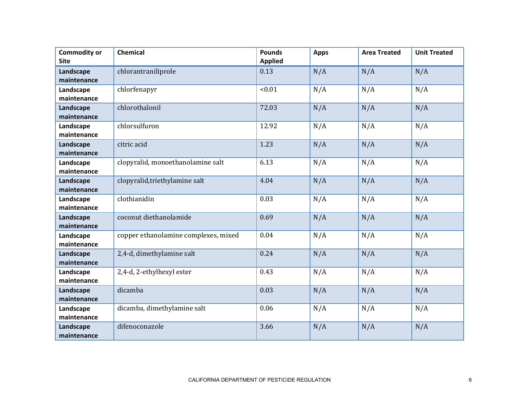| <b>Commodity or</b><br><b>Site</b> | Chemical                             | <b>Pounds</b><br><b>Applied</b> | <b>Apps</b> | <b>Area Treated</b> | <b>Unit Treated</b> |
|------------------------------------|--------------------------------------|---------------------------------|-------------|---------------------|---------------------|
| Landscape<br>maintenance           | chlorantraniliprole                  | 0.13                            | N/A         | N/A                 | N/A                 |
| Landscape<br>maintenance           | chlorfenapyr                         | < 0.01                          | N/A         | N/A                 | N/A                 |
| Landscape<br>maintenance           | chlorothalonil                       | 72.03                           | N/A         | N/A                 | N/A                 |
| Landscape<br>maintenance           | chlorsulfuron                        | 12.92                           | N/A         | N/A                 | N/A                 |
| Landscape<br>maintenance           | citric acid                          | 1.23                            | N/A         | N/A                 | N/A                 |
| Landscape<br>maintenance           | clopyralid, monoethanolamine salt    | 6.13                            | N/A         | N/A                 | N/A                 |
| Landscape<br>maintenance           | clopyralid, triethylamine salt       | 4.04                            | N/A         | N/A                 | N/A                 |
| Landscape<br>maintenance           | clothianidin                         | 0.03                            | N/A         | N/A                 | N/A                 |
| Landscape<br>maintenance           | coconut diethanolamide               | 0.69                            | N/A         | N/A                 | N/A                 |
| Landscape<br>maintenance           | copper ethanolamine complexes, mixed | 0.04                            | N/A         | N/A                 | N/A                 |
| Landscape<br>maintenance           | 2,4-d, dimethylamine salt            | 0.24                            | N/A         | N/A                 | N/A                 |
| Landscape<br>maintenance           | 2,4-d, 2-ethylhexyl ester            | 0.43                            | N/A         | N/A                 | N/A                 |
| Landscape<br>maintenance           | dicamba                              | 0.03                            | N/A         | N/A                 | N/A                 |
| Landscape<br>maintenance           | dicamba, dimethylamine salt          | 0.06                            | N/A         | N/A                 | N/A                 |
| Landscape<br>maintenance           | difenoconazole                       | 3.66                            | N/A         | N/A                 | N/A                 |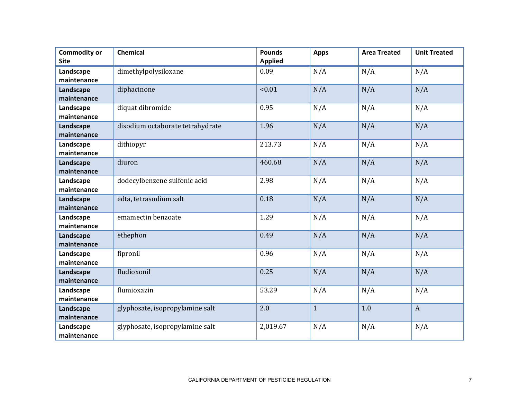| <b>Commodity or</b><br><b>Site</b> | Chemical                         | <b>Pounds</b><br><b>Applied</b> | <b>Apps</b>  | <b>Area Treated</b> | <b>Unit Treated</b> |
|------------------------------------|----------------------------------|---------------------------------|--------------|---------------------|---------------------|
| Landscape<br>maintenance           | dimethylpolysiloxane             | 0.09                            | N/A          | N/A                 | N/A                 |
| Landscape<br>maintenance           | diphacinone                      | < 0.01                          | N/A          | N/A                 | N/A                 |
| Landscape<br>maintenance           | diquat dibromide                 | 0.95                            | N/A          | N/A                 | N/A                 |
| Landscape<br>maintenance           | disodium octaborate tetrahydrate | 1.96                            | N/A          | N/A                 | N/A                 |
| Landscape<br>maintenance           | dithiopyr                        | 213.73                          | N/A          | N/A                 | N/A                 |
| Landscape<br>maintenance           | diuron                           | 460.68                          | N/A          | N/A                 | N/A                 |
| Landscape<br>maintenance           | dodecylbenzene sulfonic acid     | 2.98                            | N/A          | N/A                 | N/A                 |
| Landscape<br>maintenance           | edta, tetrasodium salt           | 0.18                            | N/A          | N/A                 | N/A                 |
| Landscape<br>maintenance           | emamectin benzoate               | 1.29                            | N/A          | N/A                 | N/A                 |
| Landscape<br>maintenance           | ethephon                         | 0.49                            | N/A          | N/A                 | N/A                 |
| Landscape<br>maintenance           | fipronil                         | 0.96                            | N/A          | N/A                 | N/A                 |
| Landscape<br>maintenance           | fludioxonil                      | 0.25                            | N/A          | N/A                 | N/A                 |
| Landscape<br>maintenance           | flumioxazin                      | 53.29                           | N/A          | N/A                 | N/A                 |
| Landscape<br>maintenance           | glyphosate, isopropylamine salt  | 2.0                             | $\mathbf{1}$ | 1.0                 | $\mathbf{A}$        |
| Landscape<br>maintenance           | glyphosate, isopropylamine salt  | 2,019.67                        | N/A          | N/A                 | N/A                 |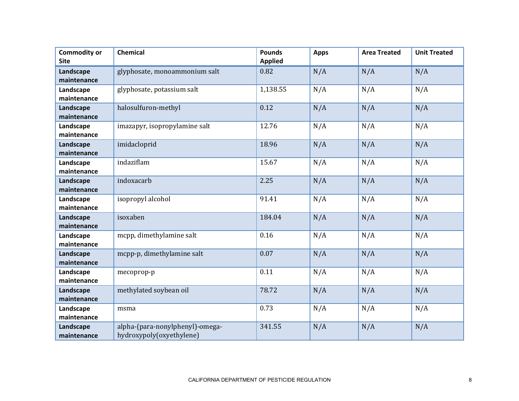| <b>Commodity or</b><br><b>Site</b> | <b>Chemical</b>                 | <b>Pounds</b><br><b>Applied</b> | <b>Apps</b> | <b>Area Treated</b> | <b>Unit Treated</b> |
|------------------------------------|---------------------------------|---------------------------------|-------------|---------------------|---------------------|
|                                    |                                 |                                 |             |                     |                     |
| Landscape                          | glyphosate, monoammonium salt   | 0.82                            | N/A         | N/A                 | N/A                 |
| maintenance                        |                                 |                                 |             |                     |                     |
| Landscape                          | glyphosate, potassium salt      | 1,138.55                        | N/A         | N/A                 | N/A                 |
| maintenance                        |                                 |                                 |             |                     |                     |
| Landscape                          | halosulfuron-methyl             | 0.12                            | N/A         | N/A                 | N/A                 |
| maintenance                        |                                 |                                 |             |                     |                     |
| Landscape                          | imazapyr, isopropylamine salt   | 12.76                           | N/A         | N/A                 | N/A                 |
| maintenance                        |                                 |                                 |             |                     |                     |
| Landscape                          | imidacloprid                    | 18.96                           | N/A         | N/A                 | N/A                 |
| maintenance                        |                                 |                                 |             |                     |                     |
| Landscape                          | indaziflam                      | 15.67                           | N/A         | N/A                 | N/A                 |
| maintenance                        |                                 |                                 |             |                     |                     |
| Landscape                          | indoxacarb                      | 2.25                            | N/A         | N/A                 | N/A                 |
| maintenance                        |                                 |                                 |             |                     |                     |
| Landscape                          | isopropyl alcohol               | 91.41                           | N/A         | N/A                 | N/A                 |
| maintenance                        |                                 |                                 |             |                     |                     |
| Landscape                          | isoxaben                        | 184.04                          | N/A         | N/A                 | N/A                 |
| maintenance                        |                                 |                                 |             |                     |                     |
| Landscape                          | mcpp, dimethylamine salt        | 0.16                            | N/A         | N/A                 | N/A                 |
| maintenance                        |                                 |                                 |             |                     |                     |
| Landscape                          | mcpp-p, dimethylamine salt      | 0.07                            | N/A         | N/A                 | N/A                 |
| maintenance                        |                                 |                                 |             |                     |                     |
| Landscape                          | mecoprop-p                      | 0.11                            | N/A         | N/A                 | N/A                 |
| maintenance                        |                                 |                                 |             |                     |                     |
| Landscape                          | methylated soybean oil          | 78.72                           | N/A         | N/A                 | N/A                 |
| maintenance                        |                                 |                                 |             |                     |                     |
| Landscape                          | msma                            | 0.73                            | N/A         | N/A                 | N/A                 |
| maintenance                        |                                 |                                 |             |                     |                     |
| Landscape                          | alpha-(para-nonylphenyl)-omega- | 341.55                          | N/A         | N/A                 | N/A                 |
| maintenance                        | hydroxypoly(oxyethylene)        |                                 |             |                     |                     |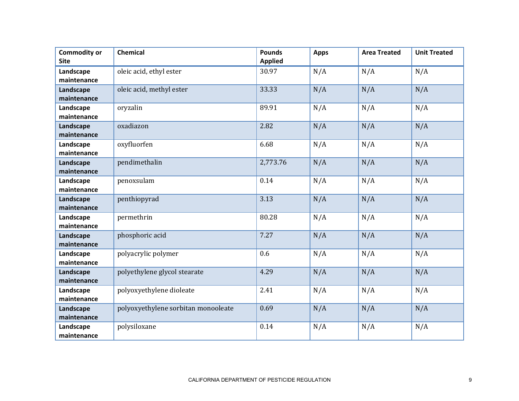| <b>Commodity or</b><br><b>Site</b> | <b>Chemical</b>                     | <b>Pounds</b><br><b>Applied</b> | <b>Apps</b> | <b>Area Treated</b> | <b>Unit Treated</b> |
|------------------------------------|-------------------------------------|---------------------------------|-------------|---------------------|---------------------|
| Landscape<br>maintenance           | oleic acid, ethyl ester             | 30.97                           | N/A         | N/A                 | N/A                 |
| Landscape<br>maintenance           | oleic acid, methyl ester            | 33.33                           | N/A         | N/A                 | N/A                 |
| Landscape<br>maintenance           | oryzalin                            | 89.91                           | N/A         | N/A                 | N/A                 |
| Landscape<br>maintenance           | oxadiazon                           | 2.82                            | N/A         | N/A                 | N/A                 |
| Landscape<br>maintenance           | oxyfluorfen                         | 6.68                            | N/A         | N/A                 | N/A                 |
| Landscape<br>maintenance           | pendimethalin                       | 2,773.76                        | N/A         | N/A                 | N/A                 |
| Landscape<br>maintenance           | penoxsulam                          | 0.14                            | N/A         | N/A                 | N/A                 |
| Landscape<br>maintenance           | penthiopyrad                        | 3.13                            | N/A         | N/A                 | N/A                 |
| Landscape<br>maintenance           | permethrin                          | 80.28                           | N/A         | N/A                 | N/A                 |
| Landscape<br>maintenance           | phosphoric acid                     | 7.27                            | N/A         | N/A                 | N/A                 |
| Landscape<br>maintenance           | polyacrylic polymer                 | 0.6                             | N/A         | N/A                 | N/A                 |
| Landscape<br>maintenance           | polyethylene glycol stearate        | 4.29                            | N/A         | N/A                 | N/A                 |
| Landscape<br>maintenance           | polyoxyethylene dioleate            | 2.41                            | N/A         | N/A                 | N/A                 |
| Landscape<br>maintenance           | polyoxyethylene sorbitan monooleate | 0.69                            | N/A         | N/A                 | N/A                 |
| Landscape<br>maintenance           | polysiloxane                        | 0.14                            | N/A         | N/A                 | N/A                 |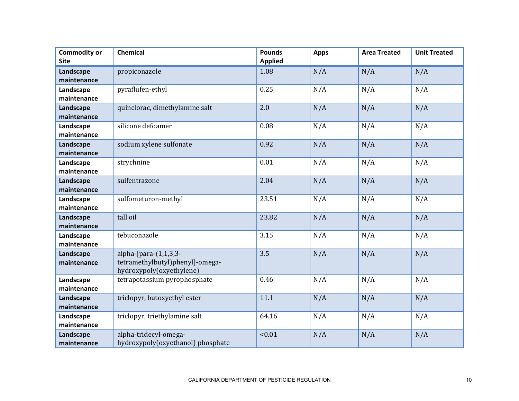| <b>Commodity or</b><br><b>Site</b> | Chemical                                                                             | <b>Pounds</b><br><b>Applied</b> | <b>Apps</b> | <b>Area Treated</b> | <b>Unit Treated</b> |
|------------------------------------|--------------------------------------------------------------------------------------|---------------------------------|-------------|---------------------|---------------------|
| Landscape<br>maintenance           | propiconazole                                                                        | 1.08                            | N/A         | N/A                 | N/A                 |
| Landscape<br>maintenance           | pyraflufen-ethyl                                                                     | 0.25                            | N/A         | N/A                 | N/A                 |
| Landscape<br>maintenance           | quinclorac, dimethylamine salt                                                       | 2.0                             | N/A         | N/A                 | N/A                 |
| Landscape<br>maintenance           | silicone defoamer                                                                    | 0.08                            | N/A         | N/A                 | N/A                 |
| Landscape<br>maintenance           | sodium xylene sulfonate                                                              | 0.92                            | N/A         | N/A                 | N/A                 |
| Landscape<br>maintenance           | strychnine                                                                           | 0.01                            | N/A         | N/A                 | N/A                 |
| Landscape<br>maintenance           | sulfentrazone                                                                        | 2.04                            | N/A         | N/A                 | N/A                 |
| Landscape<br>maintenance           | sulfometuron-methyl                                                                  | 23.51                           | N/A         | N/A                 | N/A                 |
| Landscape<br>maintenance           | tall oil                                                                             | 23.82                           | N/A         | N/A                 | N/A                 |
| Landscape<br>maintenance           | tebuconazole                                                                         | 3.15                            | N/A         | N/A                 | N/A                 |
| Landscape<br>maintenance           | alpha-[para-(1,1,3,3-<br>tetramethylbutyl)phenyl]-omega-<br>hydroxypoly(oxyethylene) | 3.5                             | N/A         | N/A                 | N/A                 |
| Landscape<br>maintenance           | tetrapotassium pyrophosphate                                                         | 0.46                            | N/A         | N/A                 | N/A                 |
| Landscape<br>maintenance           | triclopyr, butoxyethyl ester                                                         | 11.1                            | N/A         | N/A                 | N/A                 |
| Landscape<br>maintenance           | triclopyr, triethylamine salt                                                        | 64.16                           | N/A         | N/A                 | N/A                 |
| Landscape<br>maintenance           | alpha-tridecyl-omega-<br>hydroxypoly(oxyethanol) phosphate                           | < 0.01                          | N/A         | N/A                 | N/A                 |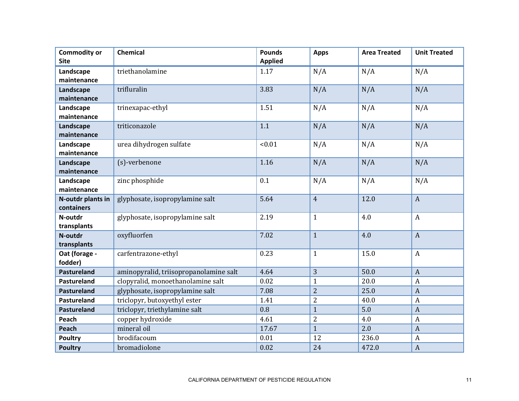| <b>Commodity or</b><br><b>Site</b> | Chemical                               | <b>Pounds</b><br><b>Applied</b> | <b>Apps</b>    | <b>Area Treated</b> | <b>Unit Treated</b> |
|------------------------------------|----------------------------------------|---------------------------------|----------------|---------------------|---------------------|
| Landscape<br>maintenance           | triethanolamine                        | 1.17                            | N/A            | N/A                 | N/A                 |
| Landscape<br>maintenance           | trifluralin                            | 3.83                            | N/A            | N/A                 | N/A                 |
| Landscape<br>maintenance           | trinexapac-ethyl                       | 1.51                            | N/A            | N/A                 | N/A                 |
| Landscape<br>maintenance           | triticonazole                          | 1.1                             | N/A            | N/A                 | N/A                 |
| Landscape<br>maintenance           | urea dihydrogen sulfate                | < 0.01                          | N/A            | N/A                 | N/A                 |
| Landscape<br>maintenance           | (s)-verbenone                          | 1.16                            | N/A            | N/A                 | N/A                 |
| Landscape<br>maintenance           | zinc phosphide                         | 0.1                             | N/A            | N/A                 | N/A                 |
| N-outdr plants in<br>containers    | glyphosate, isopropylamine salt        | 5.64                            | $\overline{4}$ | 12.0                | $\mathbf{A}$        |
| N-outdr<br>transplants             | glyphosate, isopropylamine salt        | 2.19                            | $\mathbf{1}$   | 4.0                 | $\mathbf{A}$        |
| N-outdr<br>transplants             | oxyfluorfen                            | 7.02                            | $\mathbf{1}$   | 4.0                 | $\mathbf{A}$        |
| Oat (forage -<br>fodder)           | carfentrazone-ethyl                    | 0.23                            | $\mathbf{1}$   | 15.0                | A                   |
| <b>Pastureland</b>                 | aminopyralid, triisopropanolamine salt | 4.64                            | 3              | 50.0                | $\mathbf{A}$        |
| Pastureland                        | clopyralid, monoethanolamine salt      | 0.02                            | $\mathbf{1}$   | 20.0                | A                   |
| <b>Pastureland</b>                 | glyphosate, isopropylamine salt        | 7.08                            | $\overline{2}$ | 25.0                | $\mathbf{A}$        |
| Pastureland                        | triclopyr, butoxyethyl ester           | 1.41                            | $\overline{2}$ | 40.0                | $\boldsymbol{A}$    |
| <b>Pastureland</b>                 | triclopyr, triethylamine salt          | 0.8                             | $\mathbf{1}$   | 5.0                 | $\mathbf{A}$        |
| Peach                              | copper hydroxide                       | 4.61                            | $\overline{2}$ | 4.0                 | $\boldsymbol{A}$    |
| Peach                              | mineral oil                            | 17.67                           | $\mathbf{1}$   | 2.0                 | $\mathbf{A}$        |
| <b>Poultry</b>                     | brodifacoum                            | 0.01                            | 12             | 236.0               | $\boldsymbol{A}$    |
| <b>Poultry</b>                     | bromadiolone                           | 0.02                            | 24             | 472.0               | $\boldsymbol{A}$    |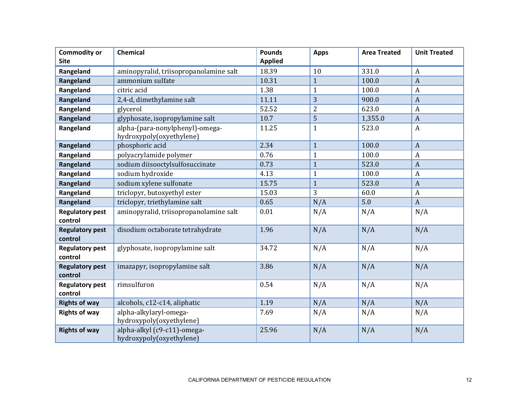| <b>Commodity or</b><br><b>Site</b> | Chemical                                                    | <b>Pounds</b><br><b>Applied</b> | <b>Apps</b>    | <b>Area Treated</b> | <b>Unit Treated</b> |
|------------------------------------|-------------------------------------------------------------|---------------------------------|----------------|---------------------|---------------------|
| Rangeland                          | aminopyralid, triisopropanolamine salt                      | 18.39                           | 10             | 331.0               | $\boldsymbol{A}$    |
| Rangeland                          | ammonium sulfate                                            | 10.31                           | $\mathbf{1}$   | 100.0               | $\boldsymbol{A}$    |
| Rangeland                          | citric acid                                                 | 1.38                            | $\mathbf{1}$   | 100.0               | $\boldsymbol{A}$    |
| Rangeland                          | 2,4-d, dimethylamine salt                                   | 11.11                           | 3              | 900.0               | $\boldsymbol{A}$    |
| Rangeland                          | glycerol                                                    | 52.52                           | $\overline{2}$ | 623.0               | $\boldsymbol{A}$    |
| Rangeland                          | glyphosate, isopropylamine salt                             | 10.7                            | 5              | 1,355.0             | $\boldsymbol{A}$    |
| Rangeland                          | alpha-(para-nonylphenyl)-omega-<br>hydroxypoly(oxyethylene) | 11.25                           | $\mathbf{1}$   | 523.0               | $\boldsymbol{A}$    |
| Rangeland                          | phosphoric acid                                             | 2.34                            | $\mathbf{1}$   | 100.0               | $\boldsymbol{A}$    |
| Rangeland                          | polyacrylamide polymer                                      | 0.76                            | 1              | 100.0               | A                   |
| Rangeland                          | sodium diisooctylsulfosuccinate                             | 0.73                            | $\overline{1}$ | 523.0               | $\boldsymbol{A}$    |
| Rangeland                          | sodium hydroxide                                            | 4.13                            | $\mathbf{1}$   | 100.0               | $\boldsymbol{A}$    |
| Rangeland                          | sodium xylene sulfonate                                     | 15.75                           | $\mathbf{1}$   | 523.0               | $\boldsymbol{A}$    |
| Rangeland                          | triclopyr, butoxyethyl ester                                | 15.03                           | 3              | 60.0                | $\mathbf{A}$        |
| Rangeland                          | triclopyr, triethylamine salt                               | 0.65                            | N/A            | 5.0                 | $\boldsymbol{A}$    |
| <b>Regulatory pest</b><br>control  | aminopyralid, triisopropanolamine salt                      | 0.01                            | N/A            | N/A                 | N/A                 |
| <b>Regulatory pest</b><br>control  | disodium octaborate tetrahydrate                            | 1.96                            | N/A            | N/A                 | N/A                 |
| <b>Regulatory pest</b><br>control  | glyphosate, isopropylamine salt                             | 34.72                           | N/A            | N/A                 | N/A                 |
| <b>Regulatory pest</b><br>control  | imazapyr, isopropylamine salt                               | 3.86                            | N/A            | N/A                 | N/A                 |
| <b>Regulatory pest</b><br>control  | rimsulfuron                                                 | 0.54                            | N/A            | N/A                 | N/A                 |
| <b>Rights of way</b>               | alcohols, c12-c14, aliphatic                                | 1.19                            | N/A            | N/A                 | N/A                 |
| <b>Rights of way</b>               | alpha-alkylaryl-omega-<br>hydroxypoly(oxyethylene)          | 7.69                            | N/A            | N/A                 | N/A                 |
| <b>Rights of way</b>               | alpha-alkyl (c9-c11)-omega-<br>hydroxypoly(oxyethylene)     | 25.96                           | N/A            | N/A                 | N/A                 |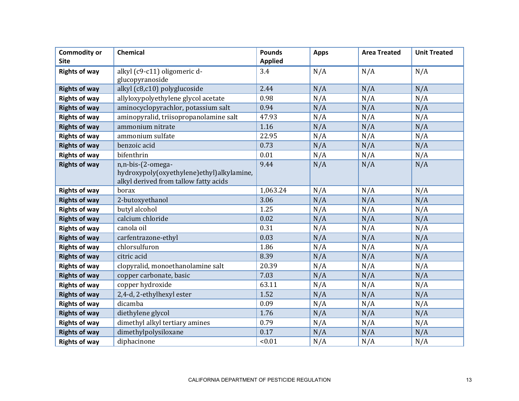| <b>Commodity or</b><br><b>Site</b> | <b>Chemical</b>                                                                    | <b>Pounds</b><br><b>Applied</b> | <b>Apps</b> | <b>Area Treated</b> | <b>Unit Treated</b> |
|------------------------------------|------------------------------------------------------------------------------------|---------------------------------|-------------|---------------------|---------------------|
|                                    | alkyl (c9-c11) oligomeric d-                                                       | 3.4                             | N/A         | N/A                 | N/A                 |
| <b>Rights of way</b>               | glucopyranoside                                                                    |                                 |             |                     |                     |
| <b>Rights of way</b>               | alkyl (c8,c10) polyglucoside                                                       | 2.44                            | N/A         | N/A                 | N/A                 |
| <b>Rights of way</b>               | allyloxypolyethylene glycol acetate                                                | 0.98                            | N/A         | N/A                 | N/A                 |
| <b>Rights of way</b>               | aminocyclopyrachlor, potassium salt                                                | 0.94                            | N/A         | N/A                 | N/A                 |
| <b>Rights of way</b>               | aminopyralid, triisopropanolamine salt                                             | 47.93                           | N/A         | N/A                 | N/A                 |
| <b>Rights of way</b>               | ammonium nitrate                                                                   | 1.16                            | N/A         | N/A                 | N/A                 |
| <b>Rights of way</b>               | ammonium sulfate                                                                   | 22.95                           | N/A         | N/A                 | N/A                 |
| <b>Rights of way</b>               | benzoic acid                                                                       | 0.73                            | N/A         | N/A                 | N/A                 |
| <b>Rights of way</b>               | bifenthrin                                                                         | 0.01                            | N/A         | N/A                 | N/A                 |
| <b>Rights of way</b>               | n,n-bis-(2-omega-                                                                  | 9.44                            | N/A         | N/A                 | N/A                 |
|                                    | hydroxypoly(oxyethylene)ethyl)alkylamine,<br>alkyl derived from tallow fatty acids |                                 |             |                     |                     |
| <b>Rights of way</b>               | borax                                                                              | 1,063.24                        | N/A         | N/A                 | N/A                 |
| <b>Rights of way</b>               | 2-butoxyethanol                                                                    | 3.06                            | N/A         | N/A                 | N/A                 |
| <b>Rights of way</b>               | butyl alcohol                                                                      | 1.25                            | N/A         | N/A                 | N/A                 |
| <b>Rights of way</b>               | calcium chloride                                                                   | 0.02                            | N/A         | N/A                 | N/A                 |
| <b>Rights of way</b>               | canola oil                                                                         | 0.31                            | N/A         | N/A                 | N/A                 |
| <b>Rights of way</b>               | carfentrazone-ethyl                                                                | 0.03                            | N/A         | N/A                 | N/A                 |
| <b>Rights of way</b>               | chlorsulfuron                                                                      | 1.86                            | N/A         | N/A                 | N/A                 |
| <b>Rights of way</b>               | citric acid                                                                        | 8.39                            | N/A         | N/A                 | N/A                 |
| <b>Rights of way</b>               | clopyralid, monoethanolamine salt                                                  | 20.39                           | N/A         | N/A                 | N/A                 |
| <b>Rights of way</b>               | copper carbonate, basic                                                            | 7.03                            | N/A         | N/A                 | N/A                 |
| <b>Rights of way</b>               | copper hydroxide                                                                   | 63.11                           | N/A         | N/A                 | N/A                 |
| <b>Rights of way</b>               | 2,4-d, 2-ethylhexyl ester                                                          | 1.52                            | N/A         | N/A                 | N/A                 |
| <b>Rights of way</b>               | dicamba                                                                            | 0.09                            | N/A         | N/A                 | N/A                 |
| <b>Rights of way</b>               | diethylene glycol                                                                  | 1.76                            | N/A         | N/A                 | N/A                 |
| <b>Rights of way</b>               | dimethyl alkyl tertiary amines                                                     | 0.79                            | N/A         | N/A                 | N/A                 |
| <b>Rights of way</b>               | dimethylpolysiloxane                                                               | 0.17                            | N/A         | N/A                 | N/A                 |
| <b>Rights of way</b>               | diphacinone                                                                        | < 0.01                          | N/A         | N/A                 | N/A                 |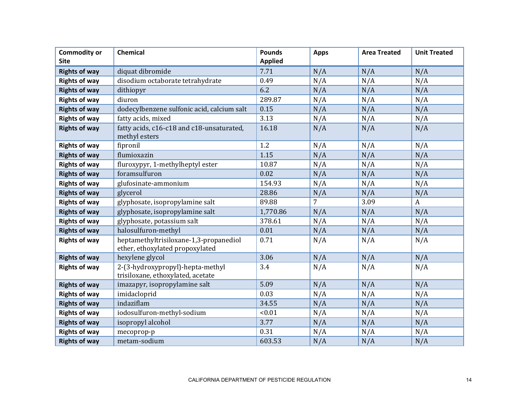| <b>Commodity or</b><br><b>Site</b> | <b>Chemical</b>                                                           | <b>Pounds</b><br><b>Applied</b> | <b>Apps</b> | <b>Area Treated</b> | <b>Unit Treated</b> |
|------------------------------------|---------------------------------------------------------------------------|---------------------------------|-------------|---------------------|---------------------|
| <b>Rights of way</b>               | diquat dibromide                                                          | 7.71                            | N/A         | N/A                 | N/A                 |
| <b>Rights of way</b>               | disodium octaborate tetrahydrate                                          | 0.49                            | N/A         | N/A                 | N/A                 |
| <b>Rights of way</b>               | dithiopyr                                                                 | 6.2                             | N/A         | N/A                 | N/A                 |
| <b>Rights of way</b>               | diuron                                                                    | 289.87                          | N/A         | N/A                 | N/A                 |
| <b>Rights of way</b>               | dodecylbenzene sulfonic acid, calcium salt                                | 0.15                            | N/A         | N/A                 | N/A                 |
| <b>Rights of way</b>               | fatty acids, mixed                                                        | 3.13                            | N/A         | N/A                 | N/A                 |
| <b>Rights of way</b>               | fatty acids, c16-c18 and c18-unsaturated,<br>methyl esters                | 16.18                           | N/A         | N/A                 | N/A                 |
| <b>Rights of way</b>               | fipronil                                                                  | 1.2                             | N/A         | N/A                 | N/A                 |
| <b>Rights of way</b>               | flumioxazin                                                               | 1.15                            | N/A         | N/A                 | N/A                 |
| <b>Rights of way</b>               | fluroxypyr, 1-methylheptyl ester                                          | 10.87                           | N/A         | N/A                 | N/A                 |
| <b>Rights of way</b>               | foramsulfuron                                                             | 0.02                            | N/A         | N/A                 | N/A                 |
| <b>Rights of way</b>               | glufosinate-ammonium                                                      | 154.93                          | N/A         | N/A                 | N/A                 |
| <b>Rights of way</b>               | glycerol                                                                  | 28.86                           | N/A         | N/A                 | N/A                 |
| <b>Rights of way</b>               | glyphosate, isopropylamine salt                                           | 89.88                           | 7           | 3.09                | $\mathbf{A}$        |
| <b>Rights of way</b>               | glyphosate, isopropylamine salt                                           | 1,770.86                        | N/A         | N/A                 | N/A                 |
| <b>Rights of way</b>               | glyphosate, potassium salt                                                | 378.61                          | N/A         | N/A                 | N/A                 |
| <b>Rights of way</b>               | halosulfuron-methyl                                                       | 0.01                            | N/A         | N/A                 | N/A                 |
| <b>Rights of way</b>               | heptamethyltrisiloxane-1,3-propanediol<br>ether, ethoxylated propoxylated | 0.71                            | N/A         | N/A                 | N/A                 |
| <b>Rights of way</b>               | hexylene glycol                                                           | 3.06                            | N/A         | N/A                 | N/A                 |
| <b>Rights of way</b>               | 2-(3-hydroxypropyl)-hepta-methyl<br>trisiloxane, ethoxylated, acetate     | 3.4                             | N/A         | N/A                 | N/A                 |
| <b>Rights of way</b>               | imazapyr, isopropylamine salt                                             | 5.09                            | N/A         | N/A                 | N/A                 |
| <b>Rights of way</b>               | imidacloprid                                                              | 0.03                            | N/A         | N/A                 | N/A                 |
| <b>Rights of way</b>               | indaziflam                                                                | 34.55                           | N/A         | N/A                 | N/A                 |
| <b>Rights of way</b>               | iodosulfuron-methyl-sodium                                                | < 0.01                          | N/A         | N/A                 | N/A                 |
| <b>Rights of way</b>               | isopropyl alcohol                                                         | 3.77                            | N/A         | N/A                 | N/A                 |
| <b>Rights of way</b>               | mecoprop-p                                                                | 0.31                            | N/A         | N/A                 | N/A                 |
| <b>Rights of way</b>               | metam-sodium                                                              | 603.53                          | N/A         | N/A                 | N/A                 |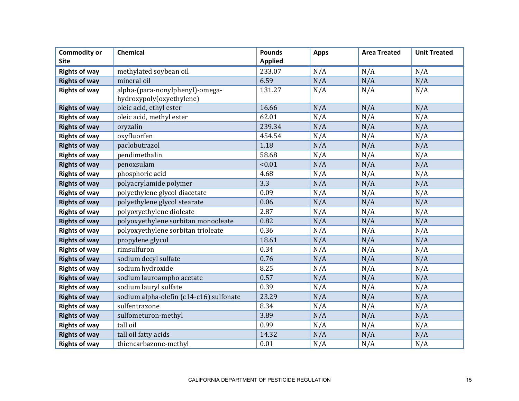| <b>Commodity or</b><br><b>Site</b> | <b>Chemical</b>                         | <b>Pounds</b><br><b>Applied</b> | <b>Apps</b> | <b>Area Treated</b> | <b>Unit Treated</b> |
|------------------------------------|-----------------------------------------|---------------------------------|-------------|---------------------|---------------------|
| <b>Rights of way</b>               | methylated soybean oil                  | 233.07                          | N/A         | N/A                 | N/A                 |
| <b>Rights of way</b>               | mineral oil                             | 6.59                            | N/A         | N/A                 | N/A                 |
| <b>Rights of way</b>               | alpha-(para-nonylphenyl)-omega-         | 131.27                          | N/A         | N/A                 | N/A                 |
|                                    | hydroxypoly(oxyethylene)                |                                 |             |                     |                     |
| <b>Rights of way</b>               | oleic acid, ethyl ester                 | 16.66                           | N/A         | N/A                 | N/A                 |
| <b>Rights of way</b>               | oleic acid, methyl ester                | 62.01                           | N/A         | N/A                 | N/A                 |
| <b>Rights of way</b>               | oryzalin                                | 239.34                          | N/A         | N/A                 | N/A                 |
| <b>Rights of way</b>               | oxyfluorfen                             | 454.54                          | N/A         | N/A                 | N/A                 |
| <b>Rights of way</b>               | paclobutrazol                           | 1.18                            | N/A         | N/A                 | N/A                 |
| <b>Rights of way</b>               | pendimethalin                           | 58.68                           | N/A         | N/A                 | N/A                 |
| <b>Rights of way</b>               | penoxsulam                              | < 0.01                          | N/A         | N/A                 | N/A                 |
| <b>Rights of way</b>               | phosphoric acid                         | 4.68                            | N/A         | N/A                 | N/A                 |
| <b>Rights of way</b>               | polyacrylamide polymer                  | 3.3                             | N/A         | N/A                 | N/A                 |
| <b>Rights of way</b>               | polyethylene glycol diacetate           | 0.09                            | N/A         | N/A                 | N/A                 |
| <b>Rights of way</b>               | polyethylene glycol stearate            | 0.06                            | N/A         | N/A                 | N/A                 |
| <b>Rights of way</b>               | polyoxyethylene dioleate                | 2.87                            | N/A         | N/A                 | N/A                 |
| <b>Rights of way</b>               | polyoxyethylene sorbitan monooleate     | 0.82                            | N/A         | N/A                 | N/A                 |
| <b>Rights of way</b>               | polyoxyethylene sorbitan trioleate      | 0.36                            | N/A         | N/A                 | N/A                 |
| <b>Rights of way</b>               | propylene glycol                        | 18.61                           | N/A         | N/A                 | N/A                 |
| <b>Rights of way</b>               | rimsulfuron                             | 0.34                            | N/A         | N/A                 | N/A                 |
| <b>Rights of way</b>               | sodium decyl sulfate                    | 0.76                            | N/A         | N/A                 | N/A                 |
| <b>Rights of way</b>               | sodium hydroxide                        | 8.25                            | N/A         | N/A                 | N/A                 |
| <b>Rights of way</b>               | sodium lauroampho acetate               | 0.57                            | N/A         | N/A                 | N/A                 |
| <b>Rights of way</b>               | sodium lauryl sulfate                   | 0.39                            | N/A         | N/A                 | N/A                 |
| <b>Rights of way</b>               | sodium alpha-olefin (c14-c16) sulfonate | 23.29                           | N/A         | N/A                 | N/A                 |
| <b>Rights of way</b>               | sulfentrazone                           | 8.34                            | N/A         | N/A                 | N/A                 |
| <b>Rights of way</b>               | sulfometuron-methyl                     | 3.89                            | N/A         | N/A                 | N/A                 |
| <b>Rights of way</b>               | tall oil                                | 0.99                            | N/A         | N/A                 | N/A                 |
| <b>Rights of way</b>               | tall oil fatty acids                    | 14.32                           | N/A         | N/A                 | N/A                 |
| <b>Rights of way</b>               | thiencarbazone-methyl                   | 0.01                            | N/A         | N/A                 | N/A                 |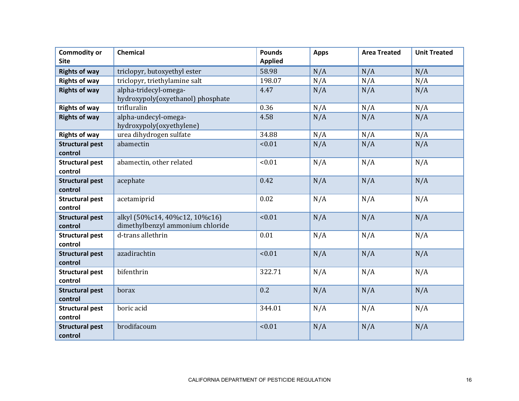| <b>Commodity or</b><br><b>Site</b> | Chemical                                                           | <b>Pounds</b><br><b>Applied</b> | <b>Apps</b> | <b>Area Treated</b> | <b>Unit Treated</b> |
|------------------------------------|--------------------------------------------------------------------|---------------------------------|-------------|---------------------|---------------------|
| <b>Rights of way</b>               | triclopyr, butoxyethyl ester                                       | 58.98                           | N/A         | N/A                 | N/A                 |
| <b>Rights of way</b>               | triclopyr, triethylamine salt                                      | 198.07                          | N/A         | N/A                 | N/A                 |
| <b>Rights of way</b>               | alpha-tridecyl-omega-<br>hydroxypoly(oxyethanol) phosphate         | 4.47                            | N/A         | N/A                 | N/A                 |
| <b>Rights of way</b>               | trifluralin                                                        | 0.36                            | N/A         | N/A                 | N/A                 |
| <b>Rights of way</b>               | alpha-undecyl-omega-<br>hydroxypoly(oxyethylene)                   | 4.58                            | N/A         | N/A                 | N/A                 |
| <b>Rights of way</b>               | urea dihydrogen sulfate                                            | 34.88                           | N/A         | N/A                 | N/A                 |
| <b>Structural pest</b><br>control  | abamectin                                                          | < 0.01                          | N/A         | N/A                 | N/A                 |
| <b>Structural pest</b><br>control  | abamectin, other related                                           | < 0.01                          | N/A         | N/A                 | N/A                 |
| <b>Structural pest</b><br>control  | acephate                                                           | 0.42                            | N/A         | N/A                 | N/A                 |
| <b>Structural pest</b><br>control  | acetamiprid                                                        | 0.02                            | N/A         | N/A                 | N/A                 |
| <b>Structural pest</b><br>control  | alkyl (50%c14, 40%c12, 10%c16)<br>dimethylbenzyl ammonium chloride | < 0.01                          | N/A         | N/A                 | N/A                 |
| <b>Structural pest</b><br>control  | d-trans allethrin                                                  | 0.01                            | N/A         | N/A                 | N/A                 |
| <b>Structural pest</b><br>control  | azadirachtin                                                       | < 0.01                          | N/A         | N/A                 | N/A                 |
| <b>Structural pest</b><br>control  | bifenthrin                                                         | 322.71                          | N/A         | N/A                 | N/A                 |
| <b>Structural pest</b><br>control  | borax                                                              | 0.2                             | N/A         | N/A                 | N/A                 |
| <b>Structural pest</b><br>control  | boric acid                                                         | 344.01                          | N/A         | N/A                 | N/A                 |
| <b>Structural pest</b><br>control  | brodifacoum                                                        | < 0.01                          | N/A         | N/A                 | N/A                 |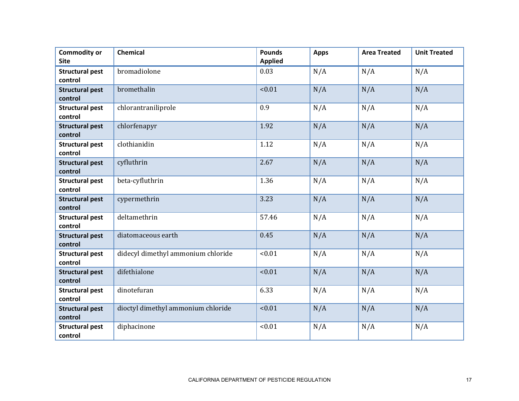| <b>Commodity or</b><br><b>Site</b> | Chemical                           | <b>Pounds</b><br><b>Applied</b> | <b>Apps</b> | <b>Area Treated</b> | <b>Unit Treated</b> |
|------------------------------------|------------------------------------|---------------------------------|-------------|---------------------|---------------------|
| <b>Structural pest</b><br>control  | bromadiolone                       | 0.03                            | N/A         | N/A                 | N/A                 |
| <b>Structural pest</b><br>control  | bromethalin                        | < 0.01                          | N/A         | N/A                 | N/A                 |
| <b>Structural pest</b><br>control  | chlorantraniliprole                | 0.9                             | N/A         | N/A                 | N/A                 |
| <b>Structural pest</b><br>control  | chlorfenapyr                       | 1.92                            | N/A         | N/A                 | N/A                 |
| <b>Structural pest</b><br>control  | clothianidin                       | 1.12                            | N/A         | N/A                 | N/A                 |
| <b>Structural pest</b><br>control  | cyfluthrin                         | 2.67                            | N/A         | N/A                 | N/A                 |
| <b>Structural pest</b><br>control  | beta-cyfluthrin                    | 1.36                            | N/A         | N/A                 | N/A                 |
| <b>Structural pest</b><br>control  | cypermethrin                       | 3.23                            | N/A         | N/A                 | N/A                 |
| <b>Structural pest</b><br>control  | deltamethrin                       | 57.46                           | N/A         | N/A                 | N/A                 |
| <b>Structural pest</b><br>control  | diatomaceous earth                 | 0.45                            | N/A         | N/A                 | N/A                 |
| <b>Structural pest</b><br>control  | didecyl dimethyl ammonium chloride | < 0.01                          | N/A         | N/A                 | N/A                 |
| <b>Structural pest</b><br>control  | difethialone                       | < 0.01                          | N/A         | N/A                 | N/A                 |
| <b>Structural pest</b><br>control  | dinotefuran                        | 6.33                            | N/A         | N/A                 | N/A                 |
| <b>Structural pest</b><br>control  | dioctyl dimethyl ammonium chloride | < 0.01                          | N/A         | N/A                 | N/A                 |
| <b>Structural pest</b><br>control  | diphacinone                        | < 0.01                          | N/A         | N/A                 | N/A                 |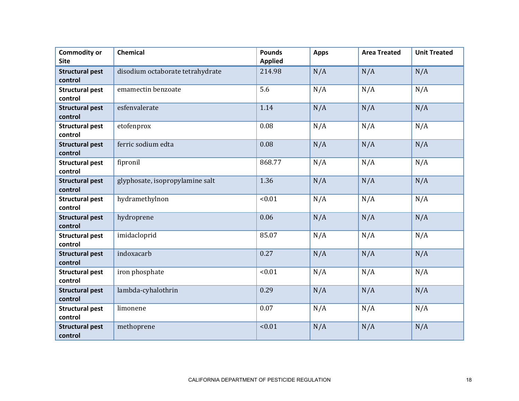| <b>Commodity or</b><br><b>Site</b> | Chemical                         | <b>Pounds</b><br><b>Applied</b> | <b>Apps</b> | <b>Area Treated</b> | <b>Unit Treated</b> |
|------------------------------------|----------------------------------|---------------------------------|-------------|---------------------|---------------------|
| <b>Structural pest</b><br>control  | disodium octaborate tetrahydrate | 214.98                          | N/A         | N/A                 | N/A                 |
| <b>Structural pest</b><br>control  | emamectin benzoate               | 5.6                             | N/A         | N/A                 | N/A                 |
| <b>Structural pest</b><br>control  | esfenvalerate                    | 1.14                            | N/A         | N/A                 | N/A                 |
| <b>Structural pest</b><br>control  | etofenprox                       | 0.08                            | N/A         | N/A                 | N/A                 |
| <b>Structural pest</b><br>control  | ferric sodium edta               | 0.08                            | N/A         | N/A                 | N/A                 |
| <b>Structural pest</b><br>control  | fipronil                         | 868.77                          | N/A         | N/A                 | N/A                 |
| <b>Structural pest</b><br>control  | glyphosate, isopropylamine salt  | 1.36                            | N/A         | N/A                 | N/A                 |
| <b>Structural pest</b><br>control  | hydramethylnon                   | < 0.01                          | N/A         | N/A                 | N/A                 |
| <b>Structural pest</b><br>control  | hydroprene                       | 0.06                            | N/A         | N/A                 | N/A                 |
| <b>Structural pest</b><br>control  | imidacloprid                     | 85.07                           | N/A         | N/A                 | N/A                 |
| <b>Structural pest</b><br>control  | indoxacarb                       | 0.27                            | N/A         | N/A                 | N/A                 |
| <b>Structural pest</b><br>control  | iron phosphate                   | < 0.01                          | N/A         | N/A                 | N/A                 |
| <b>Structural pest</b><br>control  | lambda-cyhalothrin               | 0.29                            | N/A         | N/A                 | N/A                 |
| <b>Structural pest</b><br>control  | limonene                         | 0.07                            | N/A         | N/A                 | N/A                 |
| <b>Structural pest</b><br>control  | methoprene                       | < 0.01                          | N/A         | N/A                 | N/A                 |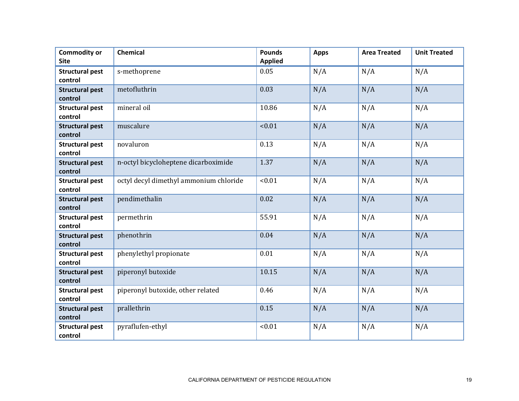| <b>Commodity or</b><br><b>Site</b> | Chemical                               | <b>Pounds</b><br><b>Applied</b> | <b>Apps</b> | <b>Area Treated</b> | <b>Unit Treated</b> |
|------------------------------------|----------------------------------------|---------------------------------|-------------|---------------------|---------------------|
| <b>Structural pest</b><br>control  | s-methoprene                           | 0.05                            | N/A         | N/A                 | N/A                 |
| <b>Structural pest</b><br>control  | metofluthrin                           | 0.03                            | N/A         | N/A                 | N/A                 |
| <b>Structural pest</b><br>control  | mineral oil                            | 10.86                           | N/A         | N/A                 | N/A                 |
| <b>Structural pest</b><br>control  | muscalure                              | < 0.01                          | N/A         | N/A                 | N/A                 |
| <b>Structural pest</b><br>control  | novaluron                              | 0.13                            | N/A         | N/A                 | N/A                 |
| <b>Structural pest</b><br>control  | n-octyl bicycloheptene dicarboximide   | 1.37                            | N/A         | N/A                 | N/A                 |
| <b>Structural pest</b><br>control  | octyl decyl dimethyl ammonium chloride | < 0.01                          | N/A         | N/A                 | N/A                 |
| <b>Structural pest</b><br>control  | pendimethalin                          | 0.02                            | N/A         | N/A                 | N/A                 |
| <b>Structural pest</b><br>control  | permethrin                             | 55.91                           | N/A         | N/A                 | N/A                 |
| <b>Structural pest</b><br>control  | phenothrin                             | 0.04                            | N/A         | N/A                 | N/A                 |
| <b>Structural pest</b><br>control  | phenylethyl propionate                 | 0.01                            | N/A         | N/A                 | N/A                 |
| <b>Structural pest</b><br>control  | piperonyl butoxide                     | 10.15                           | N/A         | N/A                 | N/A                 |
| <b>Structural pest</b><br>control  | piperonyl butoxide, other related      | 0.46                            | N/A         | N/A                 | N/A                 |
| <b>Structural pest</b><br>control  | prallethrin                            | 0.15                            | N/A         | N/A                 | N/A                 |
| <b>Structural pest</b><br>control  | pyraflufen-ethyl                       | < 0.01                          | N/A         | N/A                 | N/A                 |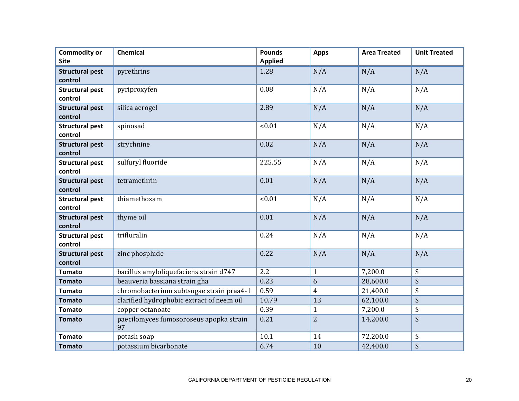| <b>Commodity or</b><br><b>Site</b> | Chemical                                      | <b>Pounds</b><br><b>Applied</b> | <b>Apps</b>    | <b>Area Treated</b> | <b>Unit Treated</b>       |
|------------------------------------|-----------------------------------------------|---------------------------------|----------------|---------------------|---------------------------|
| <b>Structural pest</b><br>control  | pyrethrins                                    | 1.28                            | N/A            | N/A                 | N/A                       |
| <b>Structural pest</b><br>control  | pyriproxyfen                                  | 0.08                            | N/A            | N/A                 | N/A                       |
| <b>Structural pest</b><br>control  | silica aerogel                                | 2.89                            | N/A            | N/A                 | N/A                       |
| <b>Structural pest</b><br>control  | spinosad                                      | < 0.01                          | N/A            | N/A                 | N/A                       |
| <b>Structural pest</b><br>control  | strychnine                                    | 0.02                            | N/A            | N/A                 | N/A                       |
| <b>Structural pest</b><br>control  | sulfuryl fluoride                             | 225.55                          | N/A            | N/A                 | N/A                       |
| <b>Structural pest</b><br>control  | tetramethrin                                  | 0.01                            | N/A            | N/A                 | N/A                       |
| <b>Structural pest</b><br>control  | thiamethoxam                                  | < 0.01                          | N/A            | N/A                 | N/A                       |
| <b>Structural pest</b><br>control  | thyme oil                                     | 0.01                            | N/A            | N/A                 | N/A                       |
| <b>Structural pest</b><br>control  | trifluralin                                   | 0.24                            | N/A            | N/A                 | N/A                       |
| <b>Structural pest</b><br>control  | zinc phosphide                                | 0.22                            | N/A            | N/A                 | N/A                       |
| <b>Tomato</b>                      | bacillus amyloliquefaciens strain d747        | 2.2                             | $\mathbf{1}$   | 7,200.0             | S                         |
| <b>Tomato</b>                      | beauveria bassiana strain gha                 | 0.23                            | 6              | 28,600.0            | S                         |
| <b>Tomato</b>                      | chromobacterium subtsugae strain praa4-1      | 0.59                            | $\overline{4}$ | 21,400.0            | S                         |
| <b>Tomato</b>                      | clarified hydrophobic extract of neem oil     | 10.79                           | 13             | 62,100.0            | S                         |
| <b>Tomato</b>                      | copper octanoate                              | 0.39                            | $\mathbf{1}$   | 7,200.0             | S                         |
| <b>Tomato</b>                      | paecilomyces fumosoroseus apopka strain<br>97 | 0.21                            | $\overline{2}$ | 14,200.0            | S                         |
| <b>Tomato</b>                      | potash soap                                   | 10.1                            | 14             | 72,200.0            | $\boldsymbol{\mathsf{S}}$ |
| <b>Tomato</b>                      | potassium bicarbonate                         | 6.74                            | 10             | 42,400.0            | S                         |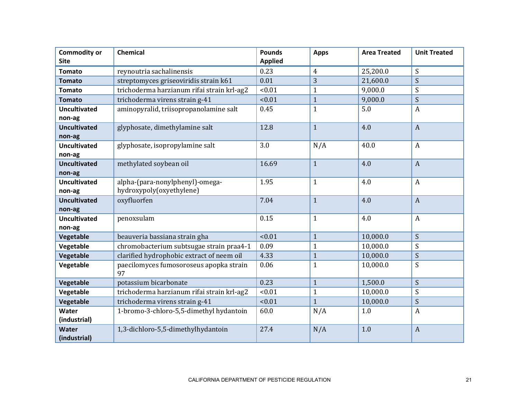| <b>Commodity or</b><br><b>Site</b> | Chemical                                      | <b>Pounds</b><br><b>Applied</b> | <b>Apps</b>    | <b>Area Treated</b> | <b>Unit Treated</b>       |
|------------------------------------|-----------------------------------------------|---------------------------------|----------------|---------------------|---------------------------|
| <b>Tomato</b>                      | reynoutria sachalinensis                      | 0.23                            | $\overline{4}$ | 25,200.0            | S                         |
| <b>Tomato</b>                      | streptomyces griseoviridis strain k61         | 0.01                            | 3              | 21,600.0            | S                         |
| <b>Tomato</b>                      | trichoderma harzianum rifai strain krl-ag2    | < 0.01                          | $\mathbf{1}$   | 9,000.0             | S                         |
| <b>Tomato</b>                      | trichoderma virens strain g-41                | < 0.01                          | $\mathbf{1}$   | 9,000.0             | S                         |
| <b>Uncultivated</b>                | aminopyralid, triisopropanolamine salt        | 0.45                            | $\mathbf{1}$   | 5.0                 | $\mathbf{A}$              |
| non-ag                             |                                               |                                 |                |                     |                           |
| <b>Uncultivated</b>                | glyphosate, dimethylamine salt                | 12.8                            | $\mathbf{1}$   | 4.0                 | $\boldsymbol{A}$          |
| non-ag                             |                                               |                                 |                |                     |                           |
| <b>Uncultivated</b>                | glyphosate, isopropylamine salt               | 3.0                             | N/A            | 40.0                | $\boldsymbol{A}$          |
| non-ag                             |                                               |                                 |                |                     |                           |
| <b>Uncultivated</b>                | methylated soybean oil                        | 16.69                           | $\mathbf{1}$   | 4.0                 | $\overline{A}$            |
| non-ag                             |                                               |                                 |                |                     |                           |
| <b>Uncultivated</b>                | alpha-(para-nonylphenyl)-omega-               | 1.95                            | $\mathbf{1}$   | 4.0                 | $\boldsymbol{A}$          |
| non-ag                             | hydroxypoly(oxyethylene)                      |                                 |                |                     |                           |
| <b>Uncultivated</b>                | oxyfluorfen                                   | 7.04                            | $\mathbf{1}$   | 4.0                 | $\boldsymbol{A}$          |
| non-ag                             |                                               |                                 |                |                     |                           |
| <b>Uncultivated</b>                | penoxsulam                                    | 0.15                            | $\mathbf{1}$   | 4.0                 | $\boldsymbol{A}$          |
| non-ag                             |                                               |                                 |                |                     |                           |
| Vegetable                          | beauveria bassiana strain gha                 | < 0.01                          | $\mathbf{1}$   | 10,000.0            | S                         |
| Vegetable                          | chromobacterium subtsugae strain praa4-1      | 0.09                            | 1              | 10,000.0            | S                         |
| Vegetable                          | clarified hydrophobic extract of neem oil     | 4.33                            | $\mathbf{1}$   | 10,000.0            | S                         |
| Vegetable                          | paecilomyces fumosoroseus apopka strain<br>97 | 0.06                            | $\mathbf{1}$   | 10,000.0            | S                         |
| Vegetable                          | potassium bicarbonate                         | 0.23                            | $\mathbf{1}$   | 1,500.0             | S                         |
| Vegetable                          | trichoderma harzianum rifai strain krl-ag2    | < 0.01                          | $\mathbf{1}$   | 10,000.0            | $\boldsymbol{\mathsf{S}}$ |
| Vegetable                          | trichoderma virens strain g-41                | < 0.01                          | $\overline{1}$ | 10,000.0            | S                         |
| Water<br>(industrial)              | 1-bromo-3-chloro-5,5-dimethyl hydantoin       | 60.0                            | N/A            | 1.0                 | $\boldsymbol{A}$          |
| Water<br>(industrial)              | 1,3-dichloro-5,5-dimethylhydantoin            | 27.4                            | N/A            | 1.0                 | $\boldsymbol{A}$          |